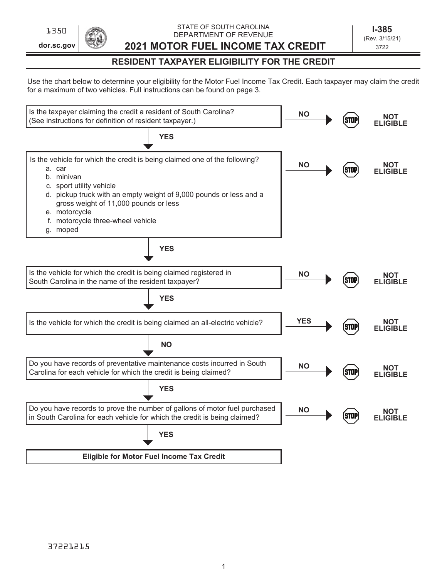**dor.sc.gov**

STATE OF SOUTH CAROLINA DEPARTMENT OF REVENUE 1350 **1350 1-385**<br>DEPARTMENT OF REVENUE 1-0 POLITICAL 1-385

**2021 MOTOR FUEL INCOME TAX CREDIT**

(Rev. 3/15/21) 3722

## **RESIDENT TAXPAYER ELIGIBILITY FOR THE CREDIT**

Use the chart below to determine your eligibility for the Motor Fuel Income Tax Credit. Each taxpayer may claim the credit for a maximum of two vehicles. Full instructions can be found on page 3.

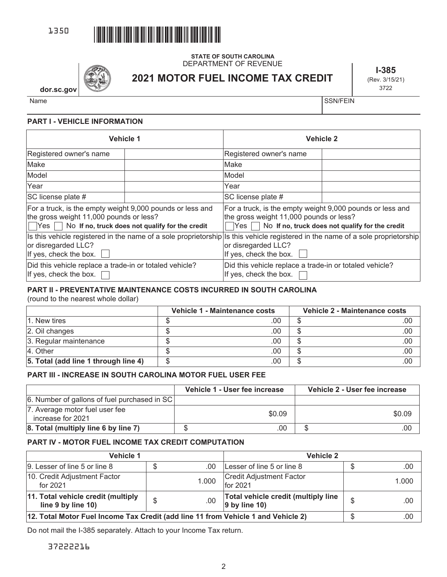

# **2021 MOTOR FUEL INCOME TAX CREDIT** DEPARTMENT OF REVENUE

**STATE OF SOUTH CAROLINA**

**I-385** (Rev. 3/15/21) 3722

**dor.sc.gov**

Name States in the state of the state of the state of the state of the SSN/FEIN

#### **PART I - VEHICLE INFORMATION**

| <b>Vehicle 1</b>                                                                                                                                                          |  | <b>Vehicle 2</b>                                                                                                                                                                 |  |  |
|---------------------------------------------------------------------------------------------------------------------------------------------------------------------------|--|----------------------------------------------------------------------------------------------------------------------------------------------------------------------------------|--|--|
| Registered owner's name                                                                                                                                                   |  | Registered owner's name                                                                                                                                                          |  |  |
| Make                                                                                                                                                                      |  | Make                                                                                                                                                                             |  |  |
| Model                                                                                                                                                                     |  | Model                                                                                                                                                                            |  |  |
| Year                                                                                                                                                                      |  | Year                                                                                                                                                                             |  |  |
| SC license plate #                                                                                                                                                        |  | SC license plate #                                                                                                                                                               |  |  |
| For a truck, is the empty weight 9,000 pounds or less and<br>the gross weight 11,000 pounds or less?<br>$\Box$ Yes $\Box$ No If no, truck does not qualify for the credit |  | For a truck, is the empty weight 9,000 pounds or less and<br>the gross weight 11,000 pounds or less?<br>No If no, truck does not qualify for the credit<br>lYes∣ I               |  |  |
| or disregarded LLC?<br>If yes, check the box.                                                                                                                             |  | Is this vehicle registered in the name of a sole proprietorship Is this vehicle registered in the name of a sole proprietorship<br>or disregarded LLC?<br>If yes, check the box. |  |  |
| Did this vehicle replace a trade-in or totaled vehicle?<br>If yes, check the box.                                                                                         |  | Did this vehicle replace a trade-in or totaled vehicle?<br>If yes, check the box.                                                                                                |  |  |

## **PART II - PREVENTATIVE MAINTENANCE COSTS INCURRED IN SOUTH CAROLINA**

(round to the nearest whole dollar)

|                                      | Vehicle 1 - Maintenance costs |     | Vehicle 2 - Maintenance costs |     |  |
|--------------------------------------|-------------------------------|-----|-------------------------------|-----|--|
| l1. New tires                        |                               | 00  |                               | .00 |  |
| 2. Oil changes                       |                               | 00  |                               | .00 |  |
| 3. Regular maintenance               |                               | .00 |                               | .00 |  |
| 4. Other                             |                               | 00  |                               | .00 |  |
| 5. Total (add line 1 through line 4) |                               | 00  |                               | .00 |  |

## **PART III - INCREASE IN SOUTH CAROLINA MOTOR FUEL USER FEE**

|                                                     | Vehicle 1 - User fee increase | Vehicle 2 - User fee increase |
|-----------------------------------------------------|-------------------------------|-------------------------------|
| 6. Number of gallons of fuel purchased in SC        |                               |                               |
| 7. Average motor fuel user fee<br>increase for 2021 | \$0.09                        | \$0.09                        |
| 8. Total (multiply line 6 by line 7)                | .00                           | .00                           |

## **PART IV - MOTOR FUEL INCOME TAX CREDIT COMPUTATION**

| <b>Vehicle 1</b>                                                                  |    | <b>Vehicle 2</b> |                                                         |    |       |
|-----------------------------------------------------------------------------------|----|------------------|---------------------------------------------------------|----|-------|
| 9. Lesser of line 5 or line 8                                                     | ง  | .00              | Lesser of line 5 or line 8                              |    | .00   |
| 10. Credit Adjustment Factor<br>for 2021                                          |    | 1.000            | Credit Adjustment Factor<br>for 2021                    |    | 1.000 |
| 11. Total vehicle credit (multiply<br>line 9 by line 10)                          | \$ | .00              | Total vehicle credit (multiply line<br>$ 9$ by line 10) | \$ | .00   |
| 12. Total Motor Fuel Income Tax Credit (add line 11 from Vehicle 1 and Vehicle 2) |    |                  |                                                         |    | .00   |

Do not mail the I-385 separately. Attach to your Income Tax return.

37222216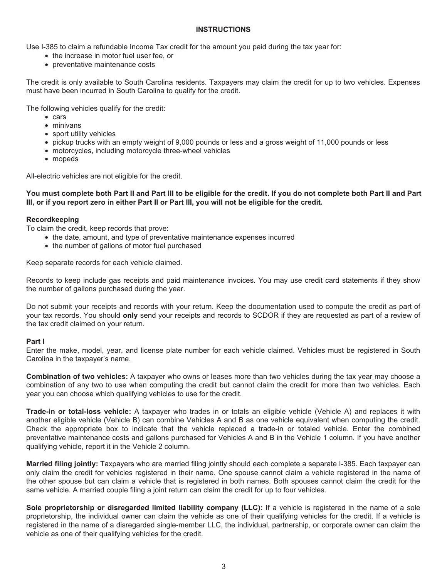#### **INSTRUCTIONS**

Use I-385 to claim a refundable Income Tax credit for the amount you paid during the tax year for:

- the increase in motor fuel user fee, or
- preventative maintenance costs

The credit is only available to South Carolina residents. Taxpayers may claim the credit for up to two vehicles. Expenses must have been incurred in South Carolina to qualify for the credit.

The following vehicles qualify for the credit:

- cars
- minivans
- sport utility vehicles
- pickup trucks with an empty weight of 9,000 pounds or less and a gross weight of 11,000 pounds or less
- motorcycles, including motorcycle three-wheel vehicles
- mopeds

All-electric vehicles are not eligible for the credit.

**You must complete both Part II and Part III to be eligible for the credit. If you do not complete both Part II and Part III, or if you report zero in either Part II or Part III, you will not be eligible for the credit.** 

#### **Recordkeeping**

To claim the credit, keep records that prove:

- the date, amount, and type of preventative maintenance expenses incurred
- the number of gallons of motor fuel purchased

Keep separate records for each vehicle claimed.

Records to keep include gas receipts and paid maintenance invoices. You may use credit card statements if they show the number of gallons purchased during the year.

Do not submit your receipts and records with your return. Keep the documentation used to compute the credit as part of your tax records. You should **only** send your receipts and records to SCDOR if they are requested as part of a review of the tax credit claimed on your return.

#### **Part I**

Enter the make, model, year, and license plate number for each vehicle claimed. Vehicles must be registered in South Carolina in the taxpayer's name.

**Combination of two vehicles:** A taxpayer who owns or leases more than two vehicles during the tax year may choose a combination of any two to use when computing the credit but cannot claim the credit for more than two vehicles. Each year you can choose which qualifying vehicles to use for the credit.

**Trade-in or total-loss vehicle:** A taxpayer who trades in or totals an eligible vehicle (Vehicle A) and replaces it with another eligible vehicle (Vehicle B) can combine Vehicles A and B as one vehicle equivalent when computing the credit. Check the appropriate box to indicate that the vehicle replaced a trade-in or totaled vehicle. Enter the combined preventative maintenance costs and gallons purchased for Vehicles A and B in the Vehicle 1 column. If you have another qualifying vehicle, report it in the Vehicle 2 column.

**Married filing jointly:** Taxpayers who are married filing jointly should each complete a separate I-385. Each taxpayer can only claim the credit for vehicles registered in their name. One spouse cannot claim a vehicle registered in the name of the other spouse but can claim a vehicle that is registered in both names. Both spouses cannot claim the credit for the same vehicle. A married couple filing a joint return can claim the credit for up to four vehicles.

**Sole proprietorship or disregarded limited liability company (LLC):** If a vehicle is registered in the name of a sole proprietorship, the individual owner can claim the vehicle as one of their qualifying vehicles for the credit. If a vehicle is registered in the name of a disregarded single-member LLC, the individual, partnership, or corporate owner can claim the vehicle as one of their qualifying vehicles for the credit.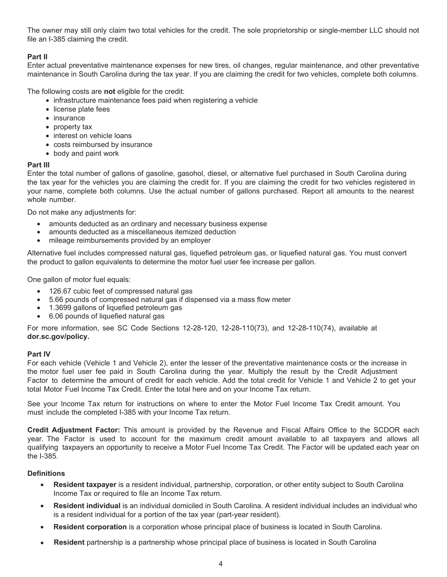The owner may still only claim two total vehicles for the credit. The sole proprietorship or single-member LLC should not file an I-385 claiming the credit.

## **Part II**

Enter actual preventative maintenance expenses for new tires, oil changes, regular maintenance, and other preventative maintenance in South Carolina during the tax year. If you are claiming the credit for two vehicles, complete both columns.

The following costs are **not** eligible for the credit:

- infrastructure maintenance fees paid when registering a vehicle
- license plate fees
- insurance
- property tax
- interest on vehicle loans
- costs reimbursed by insurance
- body and paint work

### **Part III**

Enter the total number of gallons of gasoline, gasohol, diesel, or alternative fuel purchased in South Carolina during the tax year for the vehicles you are claiming the credit for. If you are claiming the credit for two vehicles registered in your name, complete both columns. Use the actual number of gallons purchased. Report all amounts to the nearest whole number.

Do not make any adjustments for:

- amounts deducted as an ordinary and necessary business expense
- amounts deducted as a miscellaneous itemized deduction
- mileage reimbursements provided by an employer

Alternative fuel includes compressed natural gas, liquefied petroleum gas, or liquefied natural gas. You must convert the product to gallon equivalents to determine the motor fuel user fee increase per gallon.

One gallon of motor fuel equals:

- 126.67 cubic feet of compressed natural gas
- 5.66 pounds of compressed natural gas if dispensed via a mass flow meter
- 1.3699 gallons of liquefied petroleum gas
- 6.06 pounds of liquefied natural gas

For more information, see SC Code Sections 12-28-120, 12-28-110(73), and 12-28-110(74), available at **dor.sc.gov/policy.** 

## **Part IV**

For each vehicle (Vehicle 1 and Vehicle 2), enter the lesser of the preventative maintenance costs or the increase in the motor fuel user fee paid in South Carolina during the year. Multiply the result by the Credit Adjustment Factor to determine the amount of credit for each vehicle. Add the total credit for Vehicle 1 and Vehicle 2 to get your total Motor Fuel Income Tax Credit. Enter the total here and on your Income Tax return.

See your Income Tax return for instructions on where to enter the Motor Fuel Income Tax Credit amount. You must include the completed I-385 with your Income Tax return.

**Credit Adjustment Factor:** This amount is provided by the Revenue and Fiscal Affairs Office to the SCDOR each year. The Factor is used to account for the maximum credit amount available to all taxpayers and allows all qualifying taxpayers an opportunity to receive a Motor Fuel Income Tax Credit. The Factor will be updated each year on the I-385.

## **Definitions**

- **Resident taxpayer** is a resident individual, partnership, corporation, or other entity subject to South Carolina Income Tax or required to file an Income Tax return.
- **Resident individual** is an individual domiciled in South Carolina. A resident individual includes an individual who is a resident individual for a portion of the tax year (part-year resident).
- **Resident corporation** is a corporation whose principal place of business is located in South Carolina.
- **Resident** partnership is a partnership whose principal place of business is located in South Carolina